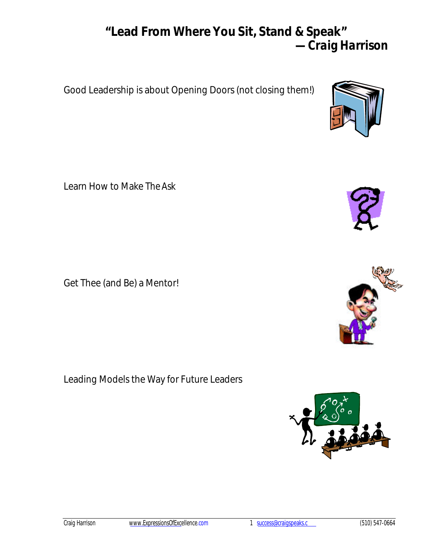# **"Lead From Where You Sit, Stand & Speak"** *—Craig Harrison*

Good Leadership is about Opening Doors (not closing them!)

Learn How to Make *The Ask*

Get Thee (and Be) a Mentor!

Leading Models the Way for Future Leaders





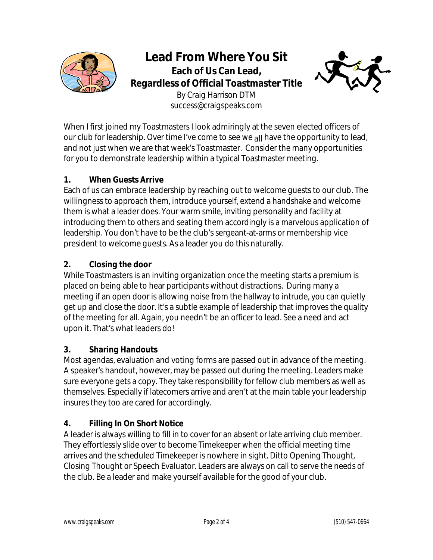

**Lead From Where You Sit Each of Us Can Lead, Regardless of Official Toastmaster Title** By Craig Harrison DTM success@craigspeaks.com



When I first joined my Toastmasters I look admiringly at the seven elected officers of our club for leadership. Over time I've come to see we *all* have the opportunity to lead, and not just when we are that week's Toastmaster. Consider the many opportunities for you to demonstrate leadership within a typical Toastmaster meeting.

#### **1. When Guests Arrive**

Each of us can embrace leadership by reaching out to welcome guests to our club. The willingness to approach them, introduce yourself, extend a handshake and welcome them is what a leader does. Your warm smile, inviting personality and facility at introducing them to others and seating them accordingly is a marvelous application of leadership. You don't have to be the club's sergeant-at-arms or membership vice president to welcome guests. As a leader you do this naturally.

## **2. Closing the door**

While Toastmasters is an inviting organization once the meeting starts a premium is placed on being able to hear participants without distractions. During many a meeting if an open door is allowing noise from the hallway to intrude, you can quietly get up and close the door. It's a subtle example of leadership that improves the quality of the meeting for all. Again, you needn't be an officer to lead. See a need and act upon it. That's what leaders do!

#### **3. Sharing Handouts**

Most agendas, evaluation and voting forms are passed out in advance of the meeting. A speaker's handout, however, may be passed out during the meeting. Leaders make sure everyone gets a copy. They take responsibility for fellow club members as well as themselves. Especially if latecomers arrive and aren't at the main table your leadership insures they too are cared for accordingly.

## **4. Filling In On Short Notice**

A leader is always willing to fill in to cover for an absent or late arriving club member. They effortlessly slide over to become Timekeeper when the official meeting time arrives and the scheduled Timekeeper is nowhere in sight. Ditto Opening Thought, Closing Thought or Speech Evaluator. Leaders are always on call to serve the needs of the club. Be a leader and make yourself available for the good of your club.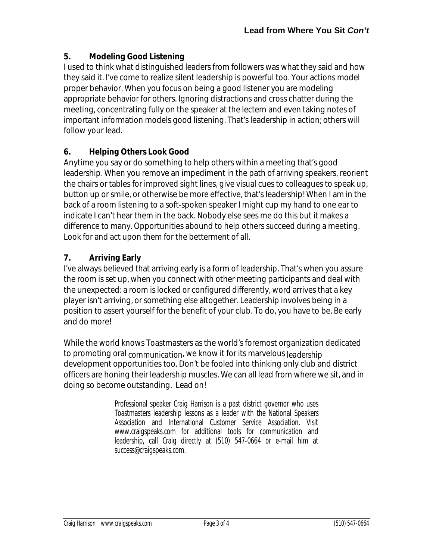#### **5. Modeling Good Listening**

I used to think what distinguished leaders from followers was what they said and how they said it. I've come to realize silent leadership is powerful too. Your actions model proper behavior. When you focus on being a good listener you are modeling appropriate behavior for others. Ignoring distractions and cross chatter during the meeting, concentrating fully on the speaker at the lectern and even taking notes of important information models good listening. That's leadership in action; others will follow your lead.

#### **6. Helping Others Look Good**

Anytime you say or do something to help others within a meeting that's good leadership. When you remove an impediment in the path of arriving speakers, reorient the chairs or tables for improved sight lines, give visual cues to colleagues to speak up, button up or smile, or otherwise be more effective, that's leadership! When I am in the back of a room listening to a soft-spoken speaker I might cup my hand to one ear to indicate I can't hear them in the back. Nobody else sees me do this but it makes a difference to many. Opportunities abound to help others succeed during a meeting. Look for and act upon them for the betterment of all.

## **7. Arriving Early**

I've always believed that arriving early is a form of leadership. That's when you assure the room is set up, when you connect with other meeting participants and deal with the unexpected: a room is locked or configured differently, word arrives that a key player isn't arriving, or something else altogether. Leadership involves being in a position to assert yourself for the benefit of your club. To do, you have to be. Be early and do more!

While the world knows Toastmasters as the world's foremost organization dedicated to promoting oral *communication*, we know it for its marvelous *leadership* development opportunities too. Don't be fooled into thinking only club and district officers are honing their leadership muscles. We can all lead from where we sit, and in doing so become outstanding. Lead on!

> Professional speaker Craig Harrison is a past district governor who uses Toastmasters leadership lessons as a leader with the National Speakers Association and International Customer Service Association. Visit www.craigspeaks.com for additional tools for communication and leadership, call Craig directly at (510) 547-0664 or e-mail him at success@craigspeaks.com.